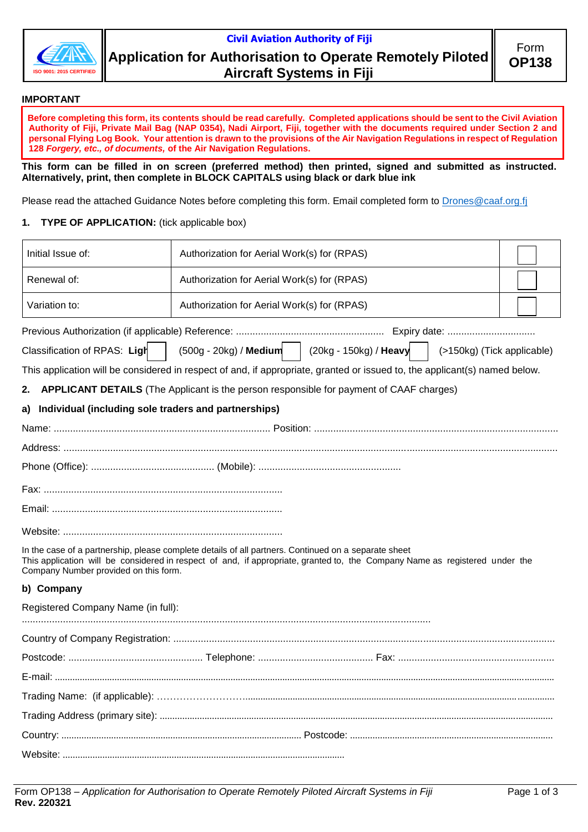

# **Civil Aviation Authority of Fiji**

# Application for Authorisation to Operate Remotely Piloted **| OP138 Aircraft Systems in Fiji**

## **IMPORTANT**

**Before completing this form, its contents should be read carefully. Completed applications should be sent to the Civil Aviation Authority of Fiji, Private Mail Bag (NAP 0354), Nadi Airport, Fiji, together with the documents required under Section 2 and personal Flying Log Book. Your attention is drawn to the provisions of the Air Navigation Regulations in respect of Regulation 128** *Forgery, etc., of documents,* **of the Air Navigation Regulations.**

**This form can be filled in on screen (preferred method) then printed, signed and submitted as instructed. Alternatively, print, then complete in BLOCK CAPITALS using black or dark blue ink**

Please read the attached Guidance Notes before completing this form. Email completed form to **Drones@caaf.org.fj** 

## 1. **TYPE OF APPLICATION:** (tick applicable box)

| Initial Issue of:                                                                                                                                                                                                                                                            | Authorization for Aerial Work(s) for (RPAS) |                                                 |                            |  |  |
|------------------------------------------------------------------------------------------------------------------------------------------------------------------------------------------------------------------------------------------------------------------------------|---------------------------------------------|-------------------------------------------------|----------------------------|--|--|
| Renewal of:                                                                                                                                                                                                                                                                  | Authorization for Aerial Work(s) for (RPAS) |                                                 |                            |  |  |
| Variation to:                                                                                                                                                                                                                                                                | Authorization for Aerial Work(s) for (RPAS) |                                                 |                            |  |  |
|                                                                                                                                                                                                                                                                              |                                             |                                                 |                            |  |  |
| Classification of RPAS: Ligh                                                                                                                                                                                                                                                 |                                             | (500g - 20kg) / Medium   (20kg - 150kg) / Heavy | (>150kg) (Tick applicable) |  |  |
| This application will be considered in respect of and, if appropriate, granted or issued to, the applicant(s) named below.                                                                                                                                                   |                                             |                                                 |                            |  |  |
| <b>APPLICANT DETAILS</b> (The Applicant is the person responsible for payment of CAAF charges)<br>2.                                                                                                                                                                         |                                             |                                                 |                            |  |  |
| a) Individual (including sole traders and partnerships)                                                                                                                                                                                                                      |                                             |                                                 |                            |  |  |
|                                                                                                                                                                                                                                                                              |                                             |                                                 |                            |  |  |
|                                                                                                                                                                                                                                                                              |                                             |                                                 |                            |  |  |
|                                                                                                                                                                                                                                                                              |                                             |                                                 |                            |  |  |
|                                                                                                                                                                                                                                                                              |                                             |                                                 |                            |  |  |
|                                                                                                                                                                                                                                                                              |                                             |                                                 |                            |  |  |
|                                                                                                                                                                                                                                                                              |                                             |                                                 |                            |  |  |
| In the case of a partnership, please complete details of all partners. Continued on a separate sheet<br>This application will be considered in respect of and, if appropriate, granted to, the Company Name as registered under the<br>Company Number provided on this form. |                                             |                                                 |                            |  |  |
| b) Company                                                                                                                                                                                                                                                                   |                                             |                                                 |                            |  |  |
| Registered Company Name (in full):                                                                                                                                                                                                                                           |                                             |                                                 |                            |  |  |
|                                                                                                                                                                                                                                                                              |                                             |                                                 |                            |  |  |
|                                                                                                                                                                                                                                                                              |                                             |                                                 |                            |  |  |
|                                                                                                                                                                                                                                                                              |                                             |                                                 |                            |  |  |
|                                                                                                                                                                                                                                                                              |                                             |                                                 |                            |  |  |
|                                                                                                                                                                                                                                                                              |                                             |                                                 |                            |  |  |
|                                                                                                                                                                                                                                                                              |                                             |                                                 |                            |  |  |
|                                                                                                                                                                                                                                                                              |                                             |                                                 |                            |  |  |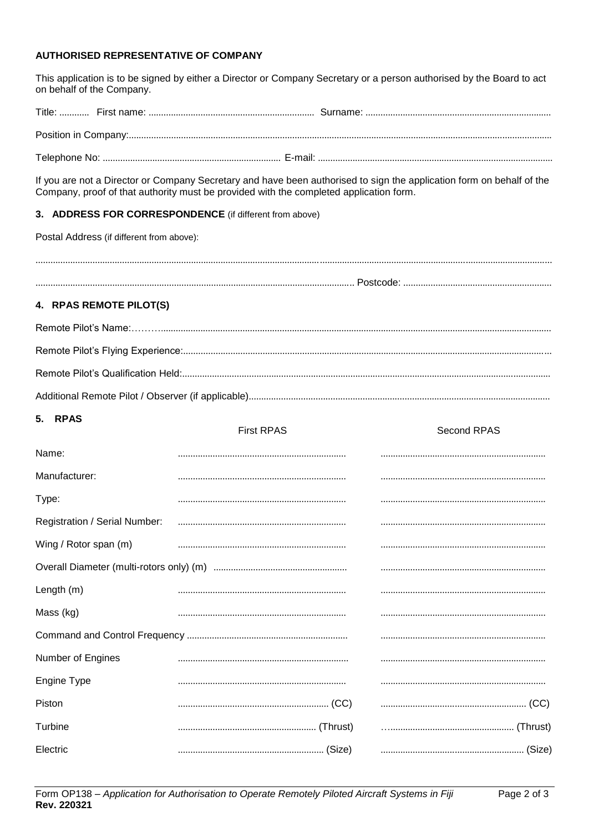# **AUTHORISED REPRESENTATIVE OF COMPANY**

This application is to be signed by either a Director or Company Secretary or a person authorised by the Board to act on behalf of the Company.

If you are not a Director or Company Secretary and have been authorised to sign the application form on behalf of the Company, proof of that authority must be provided with the completed application form.

## 3. ADDRESS FOR CORRESPONDENCE (if different from above)

Postal Address (if different from above):

# 4. RPAS REMOTE PILOT(S)

| 5. RPAS                       | <b>First RPAS</b> | <b>Second RPAS</b> |
|-------------------------------|-------------------|--------------------|
| Name:                         |                   |                    |
| Manufacturer:                 |                   |                    |
| Type:                         |                   |                    |
| Registration / Serial Number: |                   |                    |
| Wing / Rotor span (m)         |                   |                    |
|                               |                   |                    |
| Length (m)                    |                   |                    |
| Mass (kg)                     |                   |                    |
|                               |                   |                    |
| Number of Engines             |                   |                    |
| Engine Type                   |                   |                    |
| Piston                        |                   |                    |
| <b>Turbine</b>                |                   |                    |
| Electric                      |                   |                    |